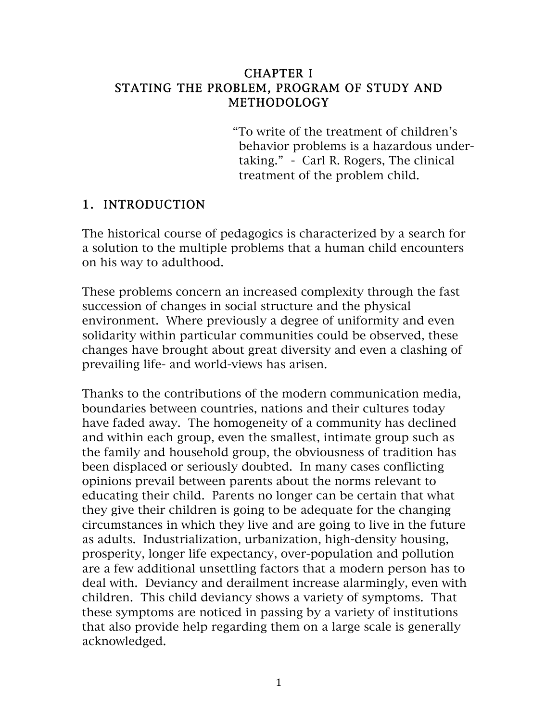#### CHAPTER I STATING THE PROBLEM, PROGRAM OF STUDY AND METHODOLOGY

 "To write of the treatment of children's behavior problems is a hazardous under taking." - Carl R. Rogers, The clinical treatment of the problem child.

#### 1. INTRODUCTION

The historical course of pedagogics is characterized by a search for a solution to the multiple problems that a human child encounters on his way to adulthood.

These problems concern an increased complexity through the fast succession of changes in social structure and the physical environment. Where previously a degree of uniformity and even solidarity within particular communities could be observed, these changes have brought about great diversity and even a clashing of prevailing life- and world-views has arisen.

Thanks to the contributions of the modern communication media, boundaries between countries, nations and their cultures today have faded away. The homogeneity of a community has declined and within each group, even the smallest, intimate group such as the family and household group, the obviousness of tradition has been displaced or seriously doubted. In many cases conflicting opinions prevail between parents about the norms relevant to educating their child. Parents no longer can be certain that what they give their children is going to be adequate for the changing circumstances in which they live and are going to live in the future as adults. Industrialization, urbanization, high-density housing, prosperity, longer life expectancy, over-population and pollution are a few additional unsettling factors that a modern person has to deal with. Deviancy and derailment increase alarmingly, even with children. This child deviancy shows a variety of symptoms. That these symptoms are noticed in passing by a variety of institutions that also provide help regarding them on a large scale is generally acknowledged.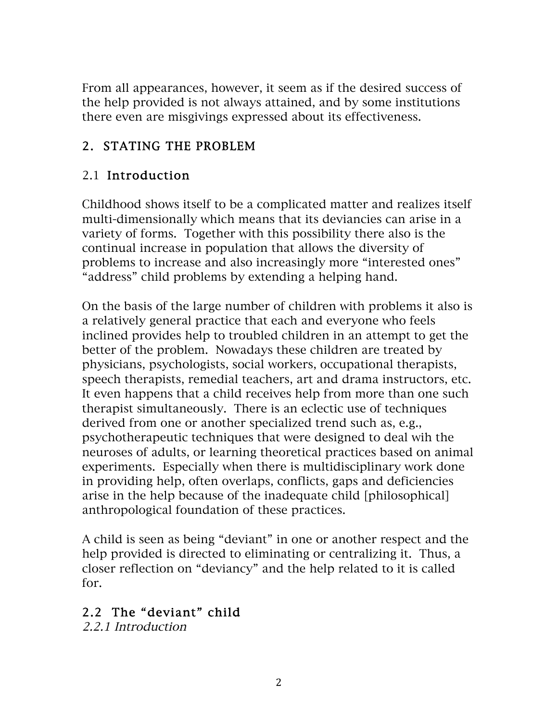From all appearances, however, it seem as if the desired success of the help provided is not always attained, and by some institutions there even are misgivings expressed about its effectiveness.

## 2. STATING THE PROBLEM

### 2.1 Introduction

Childhood shows itself to be a complicated matter and realizes itself multi-dimensionally which means that its deviancies can arise in a variety of forms. Together with this possibility there also is the continual increase in population that allows the diversity of problems to increase and also increasingly more "interested ones" "address" child problems by extending a helping hand.

On the basis of the large number of children with problems it also is a relatively general practice that each and everyone who feels inclined provides help to troubled children in an attempt to get the better of the problem. Nowadays these children are treated by physicians, psychologists, social workers, occupational therapists, speech therapists, remedial teachers, art and drama instructors, etc. It even happens that a child receives help from more than one such therapist simultaneously. There is an eclectic use of techniques derived from one or another specialized trend such as, e.g., psychotherapeutic techniques that were designed to deal wih the neuroses of adults, or learning theoretical practices based on animal experiments. Especially when there is multidisciplinary work done in providing help, often overlaps, conflicts, gaps and deficiencies arise in the help because of the inadequate child [philosophical] anthropological foundation of these practices.

A child is seen as being "deviant" in one or another respect and the help provided is directed to eliminating or centralizing it. Thus, a closer reflection on "deviancy" and the help related to it is called for.

## 2.2 The "deviant" child

2.2.1 Introduction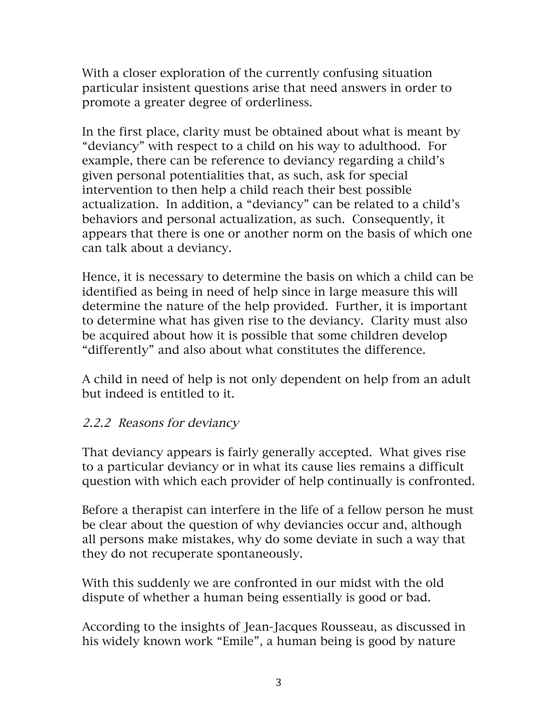With a closer exploration of the currently confusing situation particular insistent questions arise that need answers in order to promote a greater degree of orderliness.

In the first place, clarity must be obtained about what is meant by "deviancy" with respect to a child on his way to adulthood. For example, there can be reference to deviancy regarding a child's given personal potentialities that, as such, ask for special intervention to then help a child reach their best possible actualization. In addition, a "deviancy" can be related to a child's behaviors and personal actualization, as such. Consequently, it appears that there is one or another norm on the basis of which one can talk about a deviancy.

Hence, it is necessary to determine the basis on which a child can be identified as being in need of help since in large measure this will determine the nature of the help provided. Further, it is important to determine what has given rise to the deviancy. Clarity must also be acquired about how it is possible that some children develop "differently" and also about what constitutes the difference.

A child in need of help is not only dependent on help from an adult but indeed is entitled to it.

### 2.2.2 Reasons for deviancy

That deviancy appears is fairly generally accepted. What gives rise to a particular deviancy or in what its cause lies remains a difficult question with which each provider of help continually is confronted.

Before a therapist can interfere in the life of a fellow person he must be clear about the question of why deviancies occur and, although all persons make mistakes, why do some deviate in such a way that they do not recuperate spontaneously.

With this suddenly we are confronted in our midst with the old dispute of whether a human being essentially is good or bad.

According to the insights of Jean-Jacques Rousseau, as discussed in his widely known work "Emile", a human being is good by nature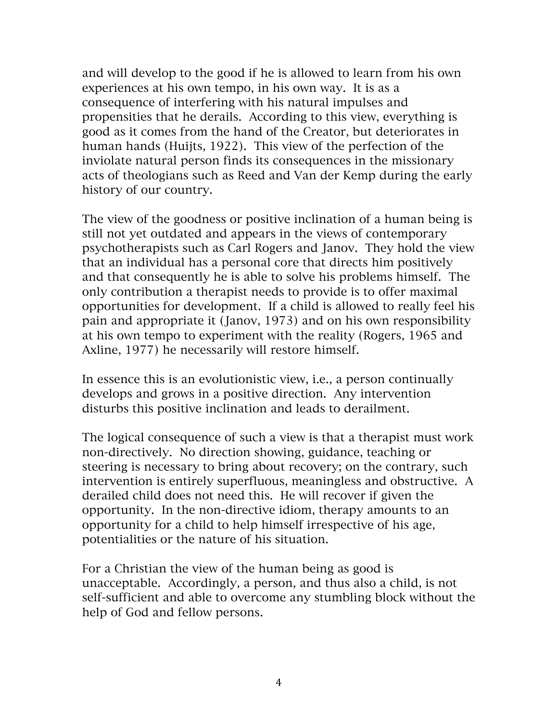and will develop to the good if he is allowed to learn from his own experiences at his own tempo, in his own way. It is as a consequence of interfering with his natural impulses and propensities that he derails. According to this view, everything is good as it comes from the hand of the Creator, but deteriorates in human hands (Huijts, 1922). This view of the perfection of the inviolate natural person finds its consequences in the missionary acts of theologians such as Reed and Van der Kemp during the early history of our country.

The view of the goodness or positive inclination of a human being is still not yet outdated and appears in the views of contemporary psychotherapists such as Carl Rogers and Janov. They hold the view that an individual has a personal core that directs him positively and that consequently he is able to solve his problems himself. The only contribution a therapist needs to provide is to offer maximal opportunities for development. If a child is allowed to really feel his pain and appropriate it (Janov, 1973) and on his own responsibility at his own tempo to experiment with the reality (Rogers, 1965 and Axline, 1977) he necessarily will restore himself.

In essence this is an evolutionistic view, i.e., a person continually develops and grows in a positive direction. Any intervention disturbs this positive inclination and leads to derailment.

The logical consequence of such a view is that a therapist must work non-directively. No direction showing, guidance, teaching or steering is necessary to bring about recovery; on the contrary, such intervention is entirely superfluous, meaningless and obstructive. A derailed child does not need this. He will recover if given the opportunity. In the non-directive idiom, therapy amounts to an opportunity for a child to help himself irrespective of his age, potentialities or the nature of his situation.

For a Christian the view of the human being as good is unacceptable. Accordingly, a person, and thus also a child, is not self-sufficient and able to overcome any stumbling block without the help of God and fellow persons.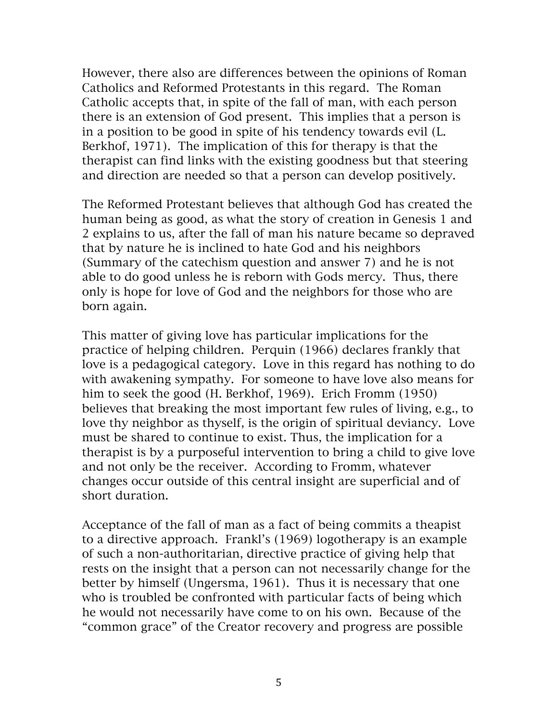However, there also are differences between the opinions of Roman Catholics and Reformed Protestants in this regard. The Roman Catholic accepts that, in spite of the fall of man, with each person there is an extension of God present. This implies that a person is in a position to be good in spite of his tendency towards evil (L. Berkhof, 1971). The implication of this for therapy is that the therapist can find links with the existing goodness but that steering and direction are needed so that a person can develop positively.

The Reformed Protestant believes that although God has created the human being as good, as what the story of creation in Genesis 1 and 2 explains to us, after the fall of man his nature became so depraved that by nature he is inclined to hate God and his neighbors (Summary of the catechism question and answer 7) and he is not able to do good unless he is reborn with Gods mercy. Thus, there only is hope for love of God and the neighbors for those who are born again.

This matter of giving love has particular implications for the practice of helping children. Perquin (1966) declares frankly that love is a pedagogical category. Love in this regard has nothing to do with awakening sympathy. For someone to have love also means for him to seek the good (H. Berkhof, 1969). Erich Fromm (1950) believes that breaking the most important few rules of living, e.g., to love thy neighbor as thyself, is the origin of spiritual deviancy. Love must be shared to continue to exist. Thus, the implication for a therapist is by a purposeful intervention to bring a child to give love and not only be the receiver. According to Fromm, whatever changes occur outside of this central insight are superficial and of short duration.

Acceptance of the fall of man as a fact of being commits a theapist to a directive approach. Frankl's (1969) logotherapy is an example of such a non-authoritarian, directive practice of giving help that rests on the insight that a person can not necessarily change for the better by himself (Ungersma, 1961). Thus it is necessary that one who is troubled be confronted with particular facts of being which he would not necessarily have come to on his own. Because of the "common grace" of the Creator recovery and progress are possible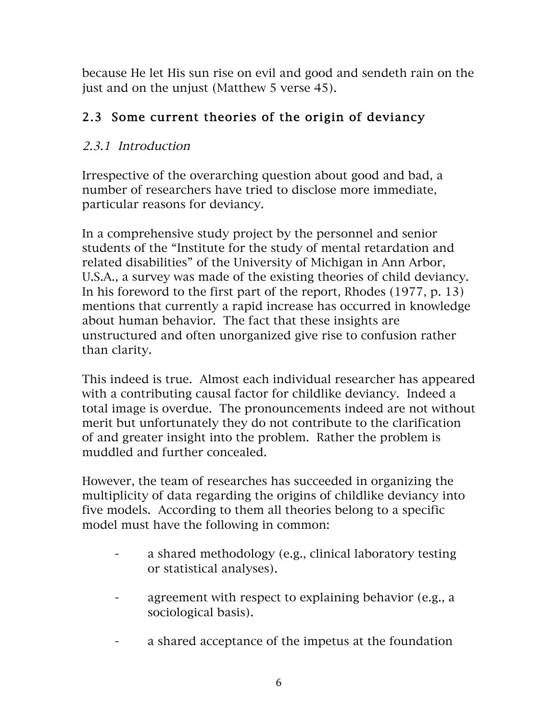because He let His sun rise on evil and good and sendeth rain on the just and on the unjust (Matthew 5 verse 45).

## 2.3 Some current theories of the origin of deviancy

## 2.3.1 Introduction

Irrespective of the overarching question about good and bad, a number of researchers have tried to disclose more immediate, particular reasons for deviancy.

In a comprehensive study project by the personnel and senior students of the "Institute for the study of mental retardation and related disabilities" of the University of Michigan in Ann Arbor, U.S.A., a survey was made of the existing theories of child deviancy. In his foreword to the first part of the report, Rhodes (1977, p. 13) mentions that currently a rapid increase has occurred in knowledge about human behavior. The fact that these insights are unstructured and often unorganized give rise to confusion rather than clarity.

This indeed is true. Almost each individual researcher has appeared with a contributing causal factor for childlike deviancy. Indeed a total image is overdue. The pronouncements indeed are not without merit but unfortunately they do not contribute to the clarification of and greater insight into the problem. Rather the problem is muddled and further concealed.

However, the team of researches has succeeded in organizing the multiplicity of data regarding the origins of childlike deviancy into five models. According to them all theories belong to a specific model must have the following in common:

- a shared methodology (e.g., clinical laboratory testing or statistical analyses).
- agreement with respect to explaining behavior (e.g., a sociological basis).
- a shared acceptance of the impetus at the foundation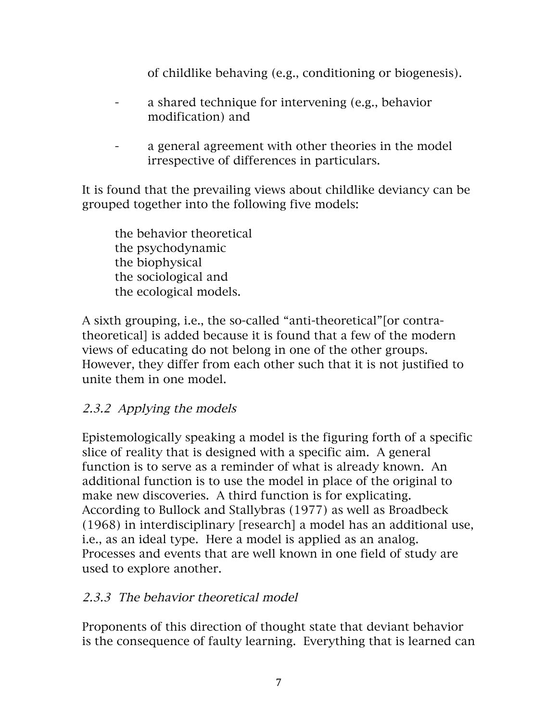of childlike behaving (e.g., conditioning or biogenesis).

- a shared technique for intervening (e.g., behavior modification) and
- a general agreement with other theories in the model irrespective of differences in particulars.

It is found that the prevailing views about childlike deviancy can be grouped together into the following five models:

the behavior theoretical the psychodynamic the biophysical the sociological and the ecological models.

A sixth grouping, i.e., the so-called "anti-theoretical"[or contratheoretical] is added because it is found that a few of the modern views of educating do not belong in one of the other groups. However, they differ from each other such that it is not justified to unite them in one model.

### 2.3.2 Applying the models

Epistemologically speaking a model is the figuring forth of a specific slice of reality that is designed with a specific aim. A general function is to serve as a reminder of what is already known. An additional function is to use the model in place of the original to make new discoveries. A third function is for explicating. According to Bullock and Stallybras (1977) as well as Broadbeck (1968) in interdisciplinary [research] a model has an additional use, i.e., as an ideal type. Here a model is applied as an analog. Processes and events that are well known in one field of study are used to explore another.

#### 2.3.3 The behavior theoretical model

Proponents of this direction of thought state that deviant behavior is the consequence of faulty learning. Everything that is learned can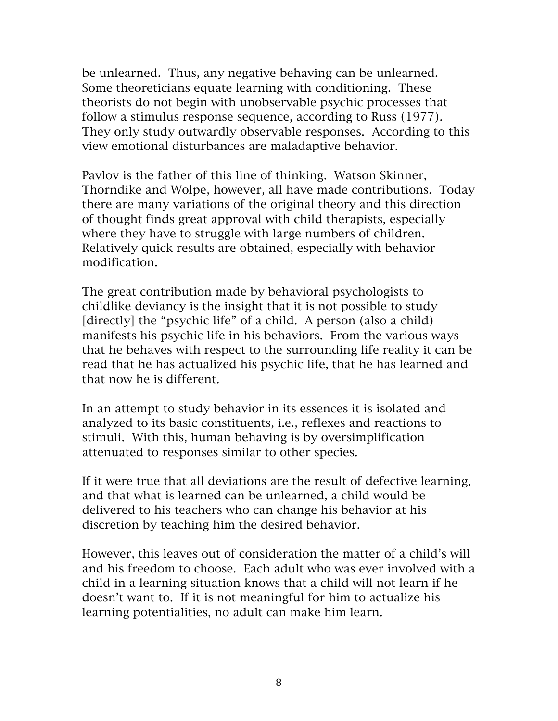be unlearned. Thus, any negative behaving can be unlearned. Some theoreticians equate learning with conditioning. These theorists do not begin with unobservable psychic processes that follow a stimulus response sequence, according to Russ (1977). They only study outwardly observable responses. According to this view emotional disturbances are maladaptive behavior.

Pavlov is the father of this line of thinking. Watson Skinner, Thorndike and Wolpe, however, all have made contributions. Today there are many variations of the original theory and this direction of thought finds great approval with child therapists, especially where they have to struggle with large numbers of children. Relatively quick results are obtained, especially with behavior modification.

The great contribution made by behavioral psychologists to childlike deviancy is the insight that it is not possible to study [directly] the "psychic life" of a child. A person (also a child) manifests his psychic life in his behaviors. From the various ways that he behaves with respect to the surrounding life reality it can be read that he has actualized his psychic life, that he has learned and that now he is different.

In an attempt to study behavior in its essences it is isolated and analyzed to its basic constituents, i.e., reflexes and reactions to stimuli. With this, human behaving is by oversimplification attenuated to responses similar to other species.

If it were true that all deviations are the result of defective learning, and that what is learned can be unlearned, a child would be delivered to his teachers who can change his behavior at his discretion by teaching him the desired behavior.

However, this leaves out of consideration the matter of a child's will and his freedom to choose. Each adult who was ever involved with a child in a learning situation knows that a child will not learn if he doesn't want to. If it is not meaningful for him to actualize his learning potentialities, no adult can make him learn.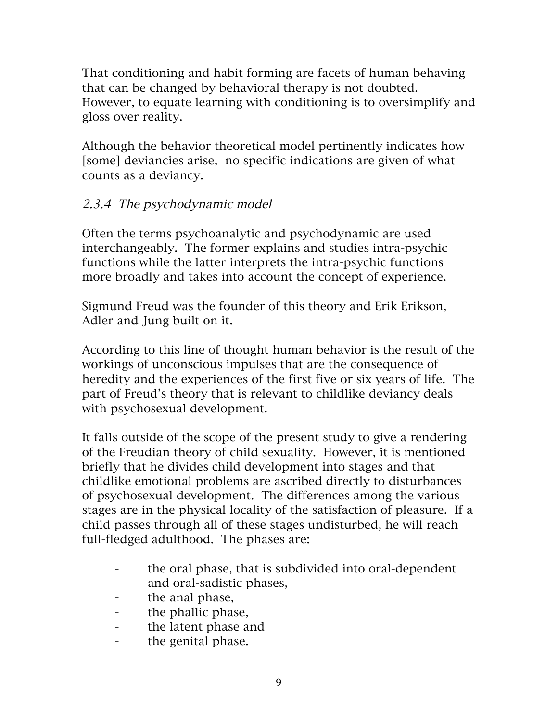That conditioning and habit forming are facets of human behaving that can be changed by behavioral therapy is not doubted. However, to equate learning with conditioning is to oversimplify and gloss over reality.

Although the behavior theoretical model pertinently indicates how [some] deviancies arise, no specific indications are given of what counts as a deviancy.

## 2.3.4 The psychodynamic model

Often the terms psychoanalytic and psychodynamic are used interchangeably. The former explains and studies intra-psychic functions while the latter interprets the intra-psychic functions more broadly and takes into account the concept of experience.

Sigmund Freud was the founder of this theory and Erik Erikson, Adler and Jung built on it.

According to this line of thought human behavior is the result of the workings of unconscious impulses that are the consequence of heredity and the experiences of the first five or six years of life. The part of Freud's theory that is relevant to childlike deviancy deals with psychosexual development.

It falls outside of the scope of the present study to give a rendering of the Freudian theory of child sexuality. However, it is mentioned briefly that he divides child development into stages and that childlike emotional problems are ascribed directly to disturbances of psychosexual development. The differences among the various stages are in the physical locality of the satisfaction of pleasure. If a child passes through all of these stages undisturbed, he will reach full-fledged adulthood. The phases are:

- the oral phase, that is subdivided into oral-dependent and oral-sadistic phases,
- the anal phase,
- the phallic phase,
- the latent phase and
- the genital phase.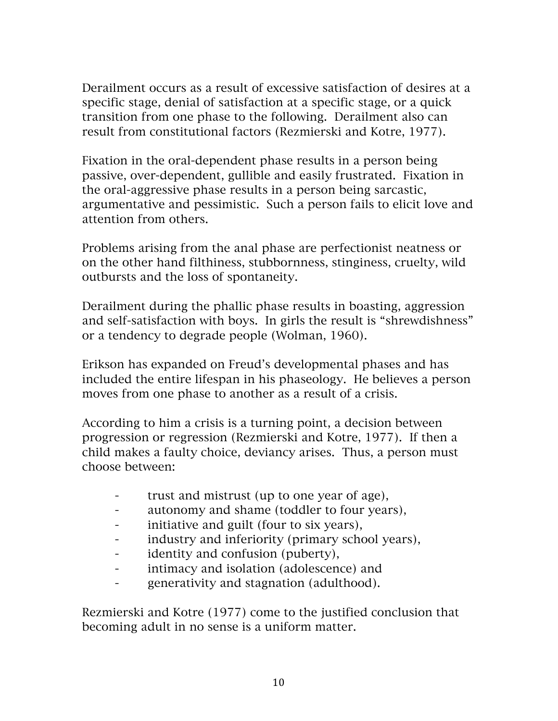Derailment occurs as a result of excessive satisfaction of desires at a specific stage, denial of satisfaction at a specific stage, or a quick transition from one phase to the following. Derailment also can result from constitutional factors (Rezmierski and Kotre, 1977).

Fixation in the oral-dependent phase results in a person being passive, over-dependent, gullible and easily frustrated. Fixation in the oral-aggressive phase results in a person being sarcastic, argumentative and pessimistic. Such a person fails to elicit love and attention from others.

Problems arising from the anal phase are perfectionist neatness or on the other hand filthiness, stubbornness, stinginess, cruelty, wild outbursts and the loss of spontaneity.

Derailment during the phallic phase results in boasting, aggression and self-satisfaction with boys. In girls the result is "shrewdishness" or a tendency to degrade people (Wolman, 1960).

Erikson has expanded on Freud's developmental phases and has included the entire lifespan in his phaseology. He believes a person moves from one phase to another as a result of a crisis.

According to him a crisis is a turning point, a decision between progression or regression (Rezmierski and Kotre, 1977). If then a child makes a faulty choice, deviancy arises. Thus, a person must choose between:

- trust and mistrust (up to one year of age),
- autonomy and shame (toddler to four years),
- initiative and guilt (four to six years),
- industry and inferiority (primary school years),
- identity and confusion (puberty),
- intimacy and isolation (adolescence) and
- generativity and stagnation (adulthood).

Rezmierski and Kotre (1977) come to the justified conclusion that becoming adult in no sense is a uniform matter.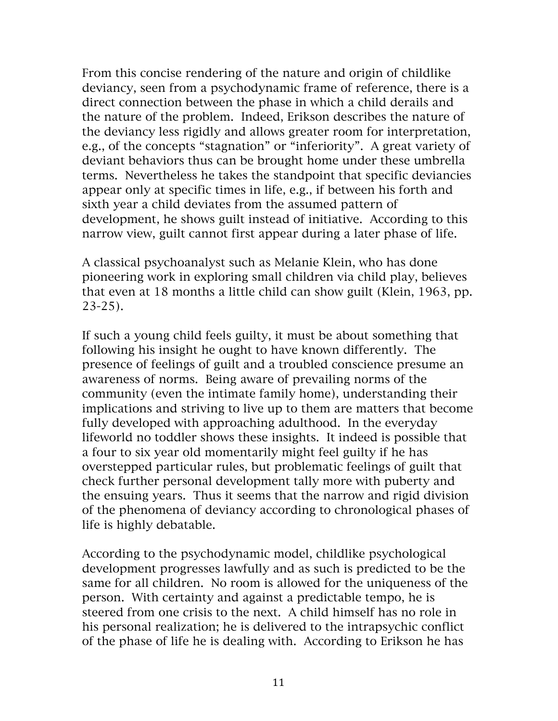From this concise rendering of the nature and origin of childlike deviancy, seen from a psychodynamic frame of reference, there is a direct connection between the phase in which a child derails and the nature of the problem. Indeed, Erikson describes the nature of the deviancy less rigidly and allows greater room for interpretation, e.g., of the concepts "stagnation" or "inferiority". A great variety of deviant behaviors thus can be brought home under these umbrella terms. Nevertheless he takes the standpoint that specific deviancies appear only at specific times in life, e.g., if between his forth and sixth year a child deviates from the assumed pattern of development, he shows guilt instead of initiative. According to this narrow view, guilt cannot first appear during a later phase of life.

A classical psychoanalyst such as Melanie Klein, who has done pioneering work in exploring small children via child play, believes that even at 18 months a little child can show guilt (Klein, 1963, pp. 23-25).

If such a young child feels guilty, it must be about something that following his insight he ought to have known differently. The presence of feelings of guilt and a troubled conscience presume an awareness of norms. Being aware of prevailing norms of the community (even the intimate family home), understanding their implications and striving to live up to them are matters that become fully developed with approaching adulthood. In the everyday lifeworld no toddler shows these insights. It indeed is possible that a four to six year old momentarily might feel guilty if he has overstepped particular rules, but problematic feelings of guilt that check further personal development tally more with puberty and the ensuing years. Thus it seems that the narrow and rigid division of the phenomena of deviancy according to chronological phases of life is highly debatable.

According to the psychodynamic model, childlike psychological development progresses lawfully and as such is predicted to be the same for all children. No room is allowed for the uniqueness of the person. With certainty and against a predictable tempo, he is steered from one crisis to the next. A child himself has no role in his personal realization; he is delivered to the intrapsychic conflict of the phase of life he is dealing with. According to Erikson he has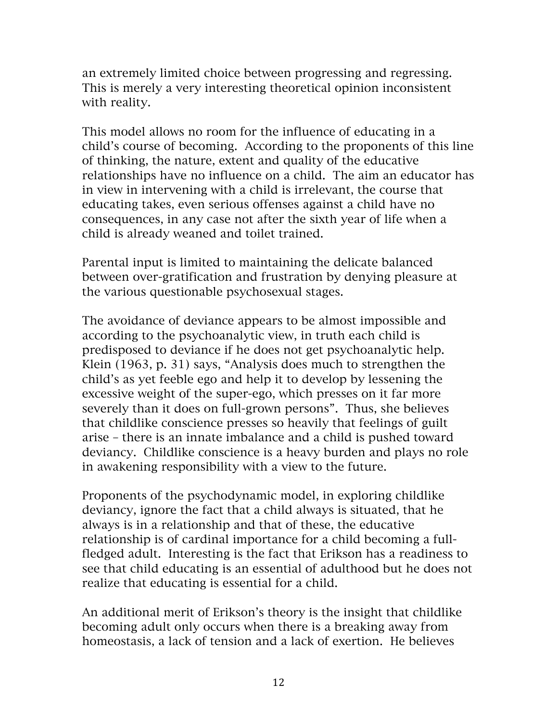an extremely limited choice between progressing and regressing. This is merely a very interesting theoretical opinion inconsistent with reality.

This model allows no room for the influence of educating in a child's course of becoming. According to the proponents of this line of thinking, the nature, extent and quality of the educative relationships have no influence on a child. The aim an educator has in view in intervening with a child is irrelevant, the course that educating takes, even serious offenses against a child have no consequences, in any case not after the sixth year of life when a child is already weaned and toilet trained.

Parental input is limited to maintaining the delicate balanced between over-gratification and frustration by denying pleasure at the various questionable psychosexual stages.

The avoidance of deviance appears to be almost impossible and according to the psychoanalytic view, in truth each child is predisposed to deviance if he does not get psychoanalytic help. Klein (1963, p. 31) says, "Analysis does much to strengthen the child's as yet feeble ego and help it to develop by lessening the excessive weight of the super-ego, which presses on it far more severely than it does on full-grown persons". Thus, she believes that childlike conscience presses so heavily that feelings of guilt arise – there is an innate imbalance and a child is pushed toward deviancy. Childlike conscience is a heavy burden and plays no role in awakening responsibility with a view to the future.

Proponents of the psychodynamic model, in exploring childlike deviancy, ignore the fact that a child always is situated, that he always is in a relationship and that of these, the educative relationship is of cardinal importance for a child becoming a fullfledged adult. Interesting is the fact that Erikson has a readiness to see that child educating is an essential of adulthood but he does not realize that educating is essential for a child.

An additional merit of Erikson's theory is the insight that childlike becoming adult only occurs when there is a breaking away from homeostasis, a lack of tension and a lack of exertion. He believes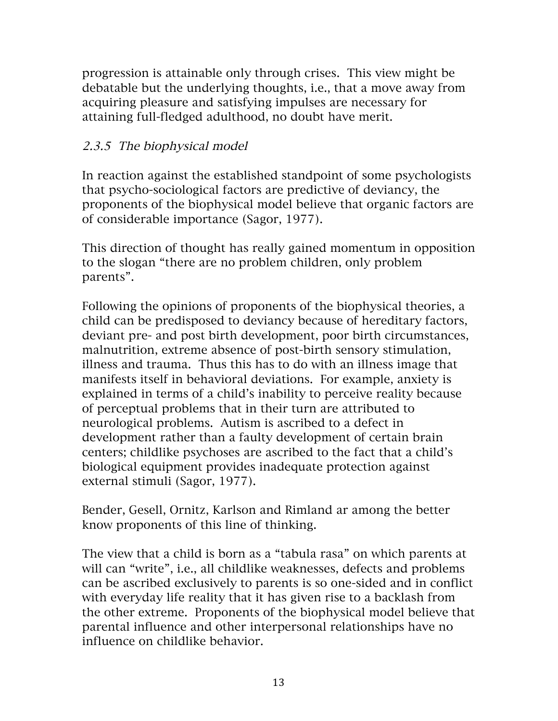progression is attainable only through crises. This view might be debatable but the underlying thoughts, i.e., that a move away from acquiring pleasure and satisfying impulses are necessary for attaining full-fledged adulthood, no doubt have merit.

### 2.3.5 The biophysical model

In reaction against the established standpoint of some psychologists that psycho-sociological factors are predictive of deviancy, the proponents of the biophysical model believe that organic factors are of considerable importance (Sagor, 1977).

This direction of thought has really gained momentum in opposition to the slogan "there are no problem children, only problem parents".

Following the opinions of proponents of the biophysical theories, a child can be predisposed to deviancy because of hereditary factors, deviant pre- and post birth development, poor birth circumstances, malnutrition, extreme absence of post-birth sensory stimulation, illness and trauma. Thus this has to do with an illness image that manifests itself in behavioral deviations. For example, anxiety is explained in terms of a child's inability to perceive reality because of perceptual problems that in their turn are attributed to neurological problems. Autism is ascribed to a defect in development rather than a faulty development of certain brain centers; childlike psychoses are ascribed to the fact that a child's biological equipment provides inadequate protection against external stimuli (Sagor, 1977).

Bender, Gesell, Ornitz, Karlson and Rimland ar among the better know proponents of this line of thinking.

The view that a child is born as a "tabula rasa" on which parents at will can "write", i.e., all childlike weaknesses, defects and problems can be ascribed exclusively to parents is so one-sided and in conflict with everyday life reality that it has given rise to a backlash from the other extreme. Proponents of the biophysical model believe that parental influence and other interpersonal relationships have no influence on childlike behavior.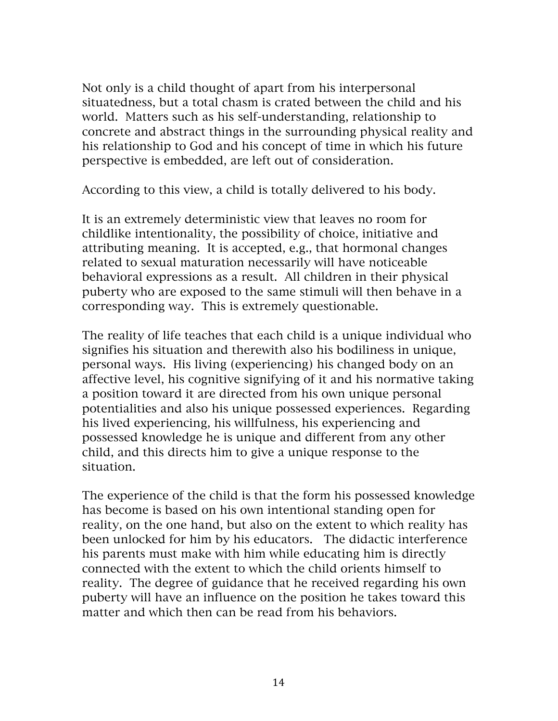Not only is a child thought of apart from his interpersonal situatedness, but a total chasm is crated between the child and his world. Matters such as his self-understanding, relationship to concrete and abstract things in the surrounding physical reality and his relationship to God and his concept of time in which his future perspective is embedded, are left out of consideration.

According to this view, a child is totally delivered to his body.

It is an extremely deterministic view that leaves no room for childlike intentionality, the possibility of choice, initiative and attributing meaning. It is accepted, e.g., that hormonal changes related to sexual maturation necessarily will have noticeable behavioral expressions as a result. All children in their physical puberty who are exposed to the same stimuli will then behave in a corresponding way. This is extremely questionable.

The reality of life teaches that each child is a unique individual who signifies his situation and therewith also his bodiliness in unique, personal ways. His living (experiencing) his changed body on an affective level, his cognitive signifying of it and his normative taking a position toward it are directed from his own unique personal potentialities and also his unique possessed experiences. Regarding his lived experiencing, his willfulness, his experiencing and possessed knowledge he is unique and different from any other child, and this directs him to give a unique response to the situation.

The experience of the child is that the form his possessed knowledge has become is based on his own intentional standing open for reality, on the one hand, but also on the extent to which reality has been unlocked for him by his educators. The didactic interference his parents must make with him while educating him is directly connected with the extent to which the child orients himself to reality. The degree of guidance that he received regarding his own puberty will have an influence on the position he takes toward this matter and which then can be read from his behaviors.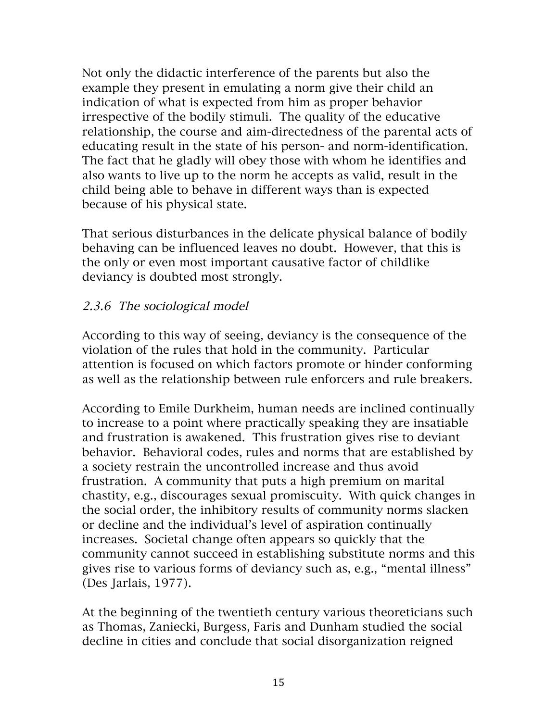Not only the didactic interference of the parents but also the example they present in emulating a norm give their child an indication of what is expected from him as proper behavior irrespective of the bodily stimuli. The quality of the educative relationship, the course and aim-directedness of the parental acts of educating result in the state of his person- and norm-identification. The fact that he gladly will obey those with whom he identifies and also wants to live up to the norm he accepts as valid, result in the child being able to behave in different ways than is expected because of his physical state.

That serious disturbances in the delicate physical balance of bodily behaving can be influenced leaves no doubt. However, that this is the only or even most important causative factor of childlike deviancy is doubted most strongly.

#### 2.3.6 The sociological model

According to this way of seeing, deviancy is the consequence of the violation of the rules that hold in the community. Particular attention is focused on which factors promote or hinder conforming as well as the relationship between rule enforcers and rule breakers.

According to Emile Durkheim, human needs are inclined continually to increase to a point where practically speaking they are insatiable and frustration is awakened. This frustration gives rise to deviant behavior. Behavioral codes, rules and norms that are established by a society restrain the uncontrolled increase and thus avoid frustration. A community that puts a high premium on marital chastity, e.g., discourages sexual promiscuity. With quick changes in the social order, the inhibitory results of community norms slacken or decline and the individual's level of aspiration continually increases. Societal change often appears so quickly that the community cannot succeed in establishing substitute norms and this gives rise to various forms of deviancy such as, e.g., "mental illness" (Des Jarlais, 1977).

At the beginning of the twentieth century various theoreticians such as Thomas, Zaniecki, Burgess, Faris and Dunham studied the social decline in cities and conclude that social disorganization reigned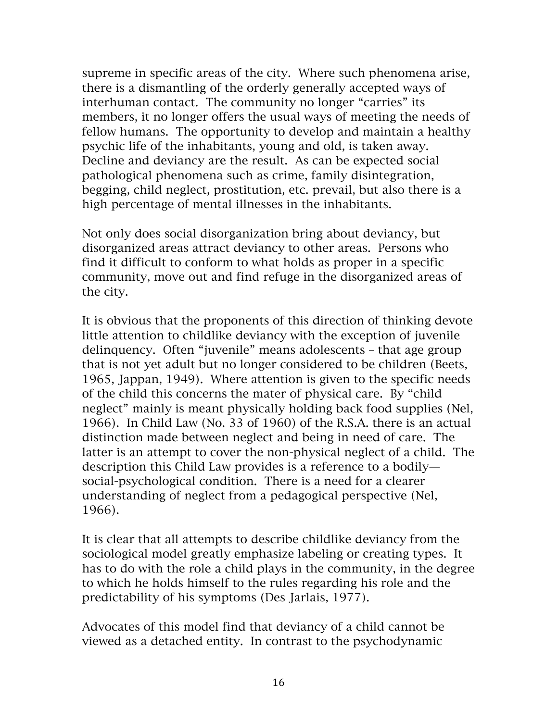supreme in specific areas of the city. Where such phenomena arise, there is a dismantling of the orderly generally accepted ways of interhuman contact. The community no longer "carries" its members, it no longer offers the usual ways of meeting the needs of fellow humans. The opportunity to develop and maintain a healthy psychic life of the inhabitants, young and old, is taken away. Decline and deviancy are the result. As can be expected social pathological phenomena such as crime, family disintegration, begging, child neglect, prostitution, etc. prevail, but also there is a high percentage of mental illnesses in the inhabitants.

Not only does social disorganization bring about deviancy, but disorganized areas attract deviancy to other areas. Persons who find it difficult to conform to what holds as proper in a specific community, move out and find refuge in the disorganized areas of the city.

It is obvious that the proponents of this direction of thinking devote little attention to childlike deviancy with the exception of juvenile delinquency. Often "juvenile" means adolescents – that age group that is not yet adult but no longer considered to be children (Beets, 1965, Jappan, 1949). Where attention is given to the specific needs of the child this concerns the mater of physical care. By "child neglect" mainly is meant physically holding back food supplies (Nel, 1966). In Child Law (No. 33 of 1960) of the R.S.A. there is an actual distinction made between neglect and being in need of care. The latter is an attempt to cover the non-physical neglect of a child. The description this Child Law provides is a reference to a bodily social-psychological condition. There is a need for a clearer understanding of neglect from a pedagogical perspective (Nel, 1966).

It is clear that all attempts to describe childlike deviancy from the sociological model greatly emphasize labeling or creating types. It has to do with the role a child plays in the community, in the degree to which he holds himself to the rules regarding his role and the predictability of his symptoms (Des Jarlais, 1977).

Advocates of this model find that deviancy of a child cannot be viewed as a detached entity. In contrast to the psychodynamic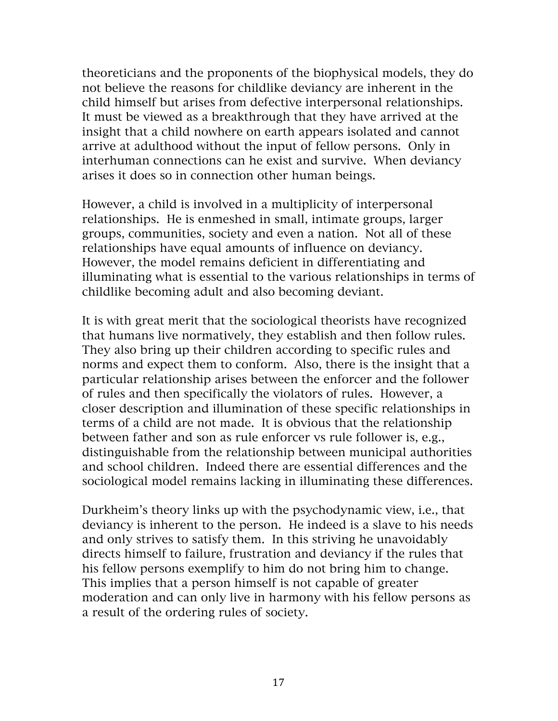theoreticians and the proponents of the biophysical models, they do not believe the reasons for childlike deviancy are inherent in the child himself but arises from defective interpersonal relationships. It must be viewed as a breakthrough that they have arrived at the insight that a child nowhere on earth appears isolated and cannot arrive at adulthood without the input of fellow persons. Only in interhuman connections can he exist and survive. When deviancy arises it does so in connection other human beings.

However, a child is involved in a multiplicity of interpersonal relationships. He is enmeshed in small, intimate groups, larger groups, communities, society and even a nation. Not all of these relationships have equal amounts of influence on deviancy. However, the model remains deficient in differentiating and illuminating what is essential to the various relationships in terms of childlike becoming adult and also becoming deviant.

It is with great merit that the sociological theorists have recognized that humans live normatively, they establish and then follow rules. They also bring up their children according to specific rules and norms and expect them to conform. Also, there is the insight that a particular relationship arises between the enforcer and the follower of rules and then specifically the violators of rules. However, a closer description and illumination of these specific relationships in terms of a child are not made. It is obvious that the relationship between father and son as rule enforcer vs rule follower is, e.g., distinguishable from the relationship between municipal authorities and school children. Indeed there are essential differences and the sociological model remains lacking in illuminating these differences.

Durkheim's theory links up with the psychodynamic view, i.e., that deviancy is inherent to the person. He indeed is a slave to his needs and only strives to satisfy them. In this striving he unavoidably directs himself to failure, frustration and deviancy if the rules that his fellow persons exemplify to him do not bring him to change. This implies that a person himself is not capable of greater moderation and can only live in harmony with his fellow persons as a result of the ordering rules of society.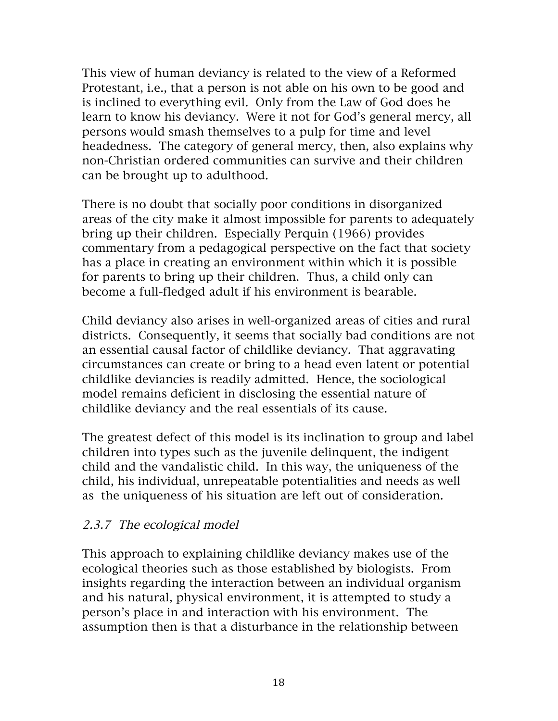This view of human deviancy is related to the view of a Reformed Protestant, i.e., that a person is not able on his own to be good and is inclined to everything evil. Only from the Law of God does he learn to know his deviancy. Were it not for God's general mercy, all persons would smash themselves to a pulp for time and level headedness. The category of general mercy, then, also explains why non-Christian ordered communities can survive and their children can be brought up to adulthood.

There is no doubt that socially poor conditions in disorganized areas of the city make it almost impossible for parents to adequately bring up their children. Especially Perquin (1966) provides commentary from a pedagogical perspective on the fact that society has a place in creating an environment within which it is possible for parents to bring up their children. Thus, a child only can become a full-fledged adult if his environment is bearable.

Child deviancy also arises in well-organized areas of cities and rural districts. Consequently, it seems that socially bad conditions are not an essential causal factor of childlike deviancy. That aggravating circumstances can create or bring to a head even latent or potential childlike deviancies is readily admitted. Hence, the sociological model remains deficient in disclosing the essential nature of childlike deviancy and the real essentials of its cause.

The greatest defect of this model is its inclination to group and label children into types such as the juvenile delinquent, the indigent child and the vandalistic child. In this way, the uniqueness of the child, his individual, unrepeatable potentialities and needs as well as the uniqueness of his situation are left out of consideration.

#### 2.3.7 The ecological model

This approach to explaining childlike deviancy makes use of the ecological theories such as those established by biologists. From insights regarding the interaction between an individual organism and his natural, physical environment, it is attempted to study a person's place in and interaction with his environment. The assumption then is that a disturbance in the relationship between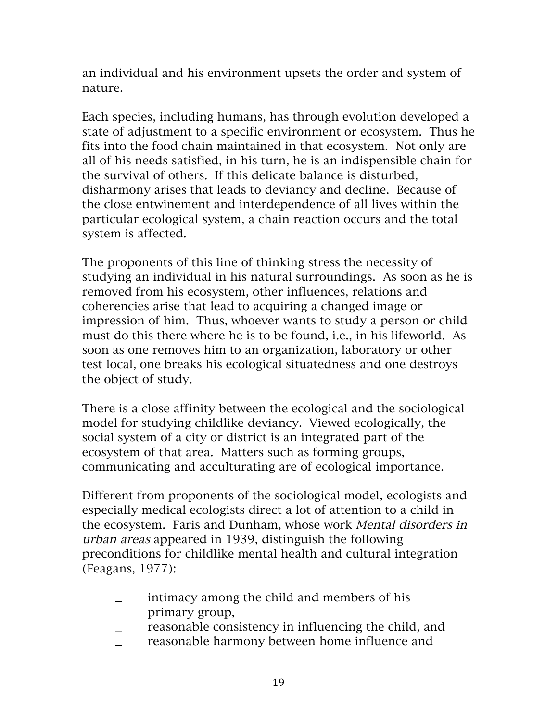an individual and his environment upsets the order and system of nature.

Each species, including humans, has through evolution developed a state of adjustment to a specific environment or ecosystem. Thus he fits into the food chain maintained in that ecosystem. Not only are all of his needs satisfied, in his turn, he is an indispensible chain for the survival of others. If this delicate balance is disturbed, disharmony arises that leads to deviancy and decline. Because of the close entwinement and interdependence of all lives within the particular ecological system, a chain reaction occurs and the total system is affected.

The proponents of this line of thinking stress the necessity of studying an individual in his natural surroundings. As soon as he is removed from his ecosystem, other influences, relations and coherencies arise that lead to acquiring a changed image or impression of him. Thus, whoever wants to study a person or child must do this there where he is to be found, i.e., in his lifeworld. As soon as one removes him to an organization, laboratory or other test local, one breaks his ecological situatedness and one destroys the object of study.

There is a close affinity between the ecological and the sociological model for studying childlike deviancy. Viewed ecologically, the social system of a city or district is an integrated part of the ecosystem of that area. Matters such as forming groups, communicating and acculturating are of ecological importance.

Different from proponents of the sociological model, ecologists and especially medical ecologists direct a lot of attention to a child in the ecosystem. Faris and Dunham, whose work Mental disorders in urban areas appeared in 1939, distinguish the following preconditions for childlike mental health and cultural integration (Feagans, 1977):

- \_ intimacy among the child and members of his primary group,
- reasonable consistency in influencing the child, and
- reasonable harmony between home influence and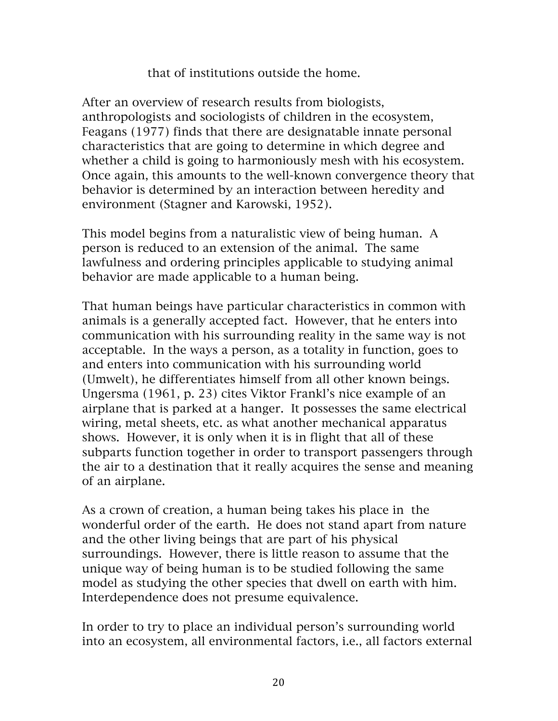#### that of institutions outside the home.

After an overview of research results from biologists, anthropologists and sociologists of children in the ecosystem, Feagans (1977) finds that there are designatable innate personal characteristics that are going to determine in which degree and whether a child is going to harmoniously mesh with his ecosystem. Once again, this amounts to the well-known convergence theory that behavior is determined by an interaction between heredity and environment (Stagner and Karowski, 1952).

This model begins from a naturalistic view of being human. A person is reduced to an extension of the animal. The same lawfulness and ordering principles applicable to studying animal behavior are made applicable to a human being.

That human beings have particular characteristics in common with animals is a generally accepted fact. However, that he enters into communication with his surrounding reality in the same way is not acceptable. In the ways a person, as a totality in function, goes to and enters into communication with his surrounding world (Umwelt), he differentiates himself from all other known beings. Ungersma (1961, p. 23) cites Viktor Frankl's nice example of an airplane that is parked at a hanger. It possesses the same electrical wiring, metal sheets, etc. as what another mechanical apparatus shows. However, it is only when it is in flight that all of these subparts function together in order to transport passengers through the air to a destination that it really acquires the sense and meaning of an airplane.

As a crown of creation, a human being takes his place in the wonderful order of the earth. He does not stand apart from nature and the other living beings that are part of his physical surroundings. However, there is little reason to assume that the unique way of being human is to be studied following the same model as studying the other species that dwell on earth with him. Interdependence does not presume equivalence.

In order to try to place an individual person's surrounding world into an ecosystem, all environmental factors, i.e., all factors external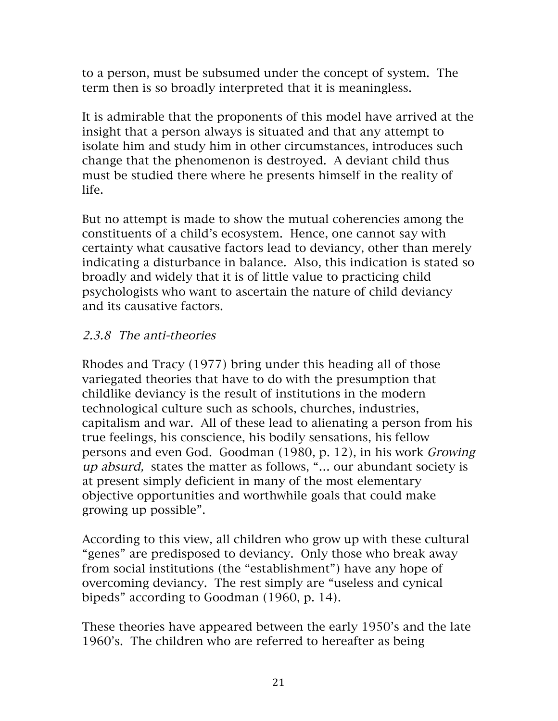to a person, must be subsumed under the concept of system. The term then is so broadly interpreted that it is meaningless.

It is admirable that the proponents of this model have arrived at the insight that a person always is situated and that any attempt to isolate him and study him in other circumstances, introduces such change that the phenomenon is destroyed. A deviant child thus must be studied there where he presents himself in the reality of life.

But no attempt is made to show the mutual coherencies among the constituents of a child's ecosystem. Hence, one cannot say with certainty what causative factors lead to deviancy, other than merely indicating a disturbance in balance. Also, this indication is stated so broadly and widely that it is of little value to practicing child psychologists who want to ascertain the nature of child deviancy and its causative factors.

#### 2.3.8 The anti-theories

Rhodes and Tracy (1977) bring under this heading all of those variegated theories that have to do with the presumption that childlike deviancy is the result of institutions in the modern technological culture such as schools, churches, industries, capitalism and war. All of these lead to alienating a person from his true feelings, his conscience, his bodily sensations, his fellow persons and even God. Goodman (1980, p. 12), in his work Growing up absurd, states the matter as follows, "… our abundant society is at present simply deficient in many of the most elementary objective opportunities and worthwhile goals that could make growing up possible".

According to this view, all children who grow up with these cultural "genes" are predisposed to deviancy. Only those who break away from social institutions (the "establishment") have any hope of overcoming deviancy. The rest simply are "useless and cynical bipeds" according to Goodman (1960, p. 14).

These theories have appeared between the early 1950's and the late 1960's. The children who are referred to hereafter as being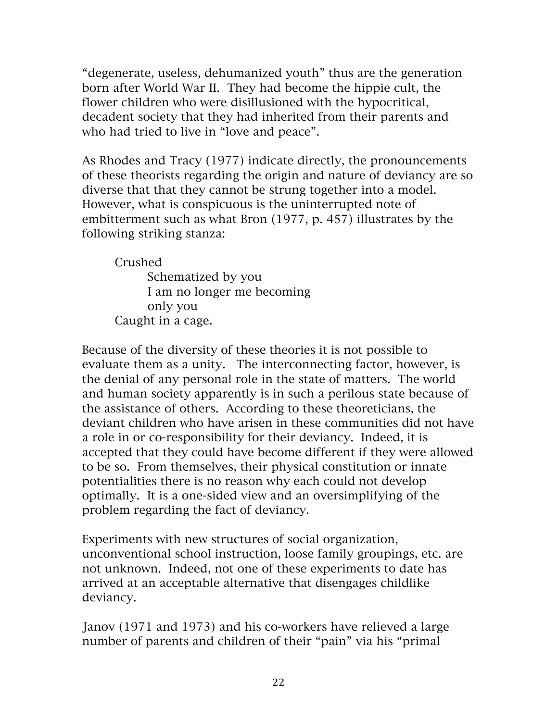"degenerate, useless, dehumanized youth" thus are the generation born after World War II. They had become the hippie cult, the flower children who were disillusioned with the hypocritical, decadent society that they had inherited from their parents and who had tried to live in "love and peace".

As Rhodes and Tracy (1977) indicate directly, the pronouncements of these theorists regarding the origin and nature of deviancy are so diverse that that they cannot be strung together into a model. However, what is conspicuous is the uninterrupted note of embitterment such as what Bron (1977, p. 457) illustrates by the following striking stanza:

Crushed

Schematized by you I am no longer me becoming only you Caught in a cage.

Because of the diversity of these theories it is not possible to evaluate them as a unity. The interconnecting factor, however, is the denial of any personal role in the state of matters. The world and human society apparently is in such a perilous state because of the assistance of others. According to these theoreticians, the deviant children who have arisen in these communities did not have a role in or co-responsibility for their deviancy. Indeed, it is accepted that they could have become different if they were allowed to be so. From themselves, their physical constitution or innate potentialities there is no reason why each could not develop optimally. It is a one-sided view and an oversimplifying of the problem regarding the fact of deviancy.

Experiments with new structures of social organization, unconventional school instruction, loose family groupings, etc. are not unknown. Indeed, not one of these experiments to date has arrived at an acceptable alternative that disengages childlike deviancy.

Janov (1971 and 1973) and his co-workers have relieved a large number of parents and children of their "pain" via his "primal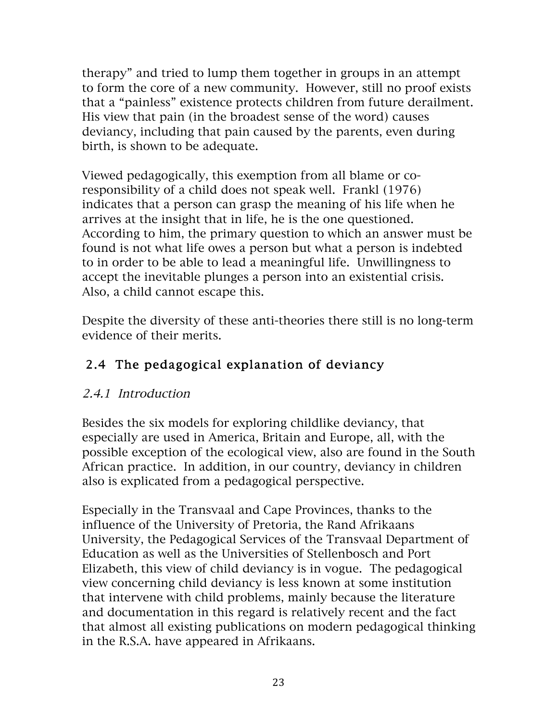therapy" and tried to lump them together in groups in an attempt to form the core of a new community. However, still no proof exists that a "painless" existence protects children from future derailment. His view that pain (in the broadest sense of the word) causes deviancy, including that pain caused by the parents, even during birth, is shown to be adequate.

Viewed pedagogically, this exemption from all blame or coresponsibility of a child does not speak well. Frankl (1976) indicates that a person can grasp the meaning of his life when he arrives at the insight that in life, he is the one questioned. According to him, the primary question to which an answer must be found is not what life owes a person but what a person is indebted to in order to be able to lead a meaningful life. Unwillingness to accept the inevitable plunges a person into an existential crisis. Also, a child cannot escape this.

Despite the diversity of these anti-theories there still is no long-term evidence of their merits.

# 2.4 The pedagogical explanation of deviancy

## 2.4.1 Introduction

Besides the six models for exploring childlike deviancy, that especially are used in America, Britain and Europe, all, with the possible exception of the ecological view, also are found in the South African practice. In addition, in our country, deviancy in children also is explicated from a pedagogical perspective.

Especially in the Transvaal and Cape Provinces, thanks to the influence of the University of Pretoria, the Rand Afrikaans University, the Pedagogical Services of the Transvaal Department of Education as well as the Universities of Stellenbosch and Port Elizabeth, this view of child deviancy is in vogue. The pedagogical view concerning child deviancy is less known at some institution that intervene with child problems, mainly because the literature and documentation in this regard is relatively recent and the fact that almost all existing publications on modern pedagogical thinking in the R.S.A. have appeared in Afrikaans.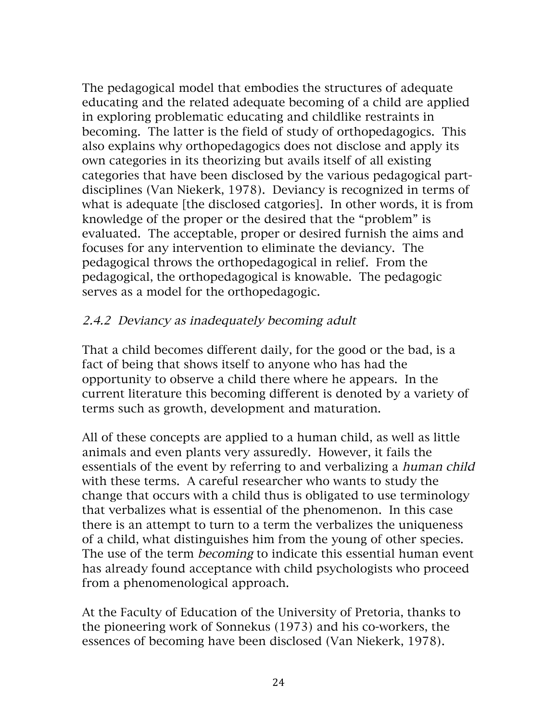The pedagogical model that embodies the structures of adequate educating and the related adequate becoming of a child are applied in exploring problematic educating and childlike restraints in becoming. The latter is the field of study of orthopedagogics. This also explains why orthopedagogics does not disclose and apply its own categories in its theorizing but avails itself of all existing categories that have been disclosed by the various pedagogical partdisciplines (Van Niekerk, 1978). Deviancy is recognized in terms of what is adequate [the disclosed catgories]. In other words, it is from knowledge of the proper or the desired that the "problem" is evaluated. The acceptable, proper or desired furnish the aims and focuses for any intervention to eliminate the deviancy. The pedagogical throws the orthopedagogical in relief. From the pedagogical, the orthopedagogical is knowable. The pedagogic serves as a model for the orthopedagogic.

#### 2.4.2 Deviancy as inadequately becoming adult

That a child becomes different daily, for the good or the bad, is a fact of being that shows itself to anyone who has had the opportunity to observe a child there where he appears. In the current literature this becoming different is denoted by a variety of terms such as growth, development and maturation.

All of these concepts are applied to a human child, as well as little animals and even plants very assuredly. However, it fails the essentials of the event by referring to and verbalizing a human child with these terms. A careful researcher who wants to study the change that occurs with a child thus is obligated to use terminology that verbalizes what is essential of the phenomenon. In this case there is an attempt to turn to a term the verbalizes the uniqueness of a child, what distinguishes him from the young of other species. The use of the term *becoming* to indicate this essential human event has already found acceptance with child psychologists who proceed from a phenomenological approach.

At the Faculty of Education of the University of Pretoria, thanks to the pioneering work of Sonnekus (1973) and his co-workers, the essences of becoming have been disclosed (Van Niekerk, 1978).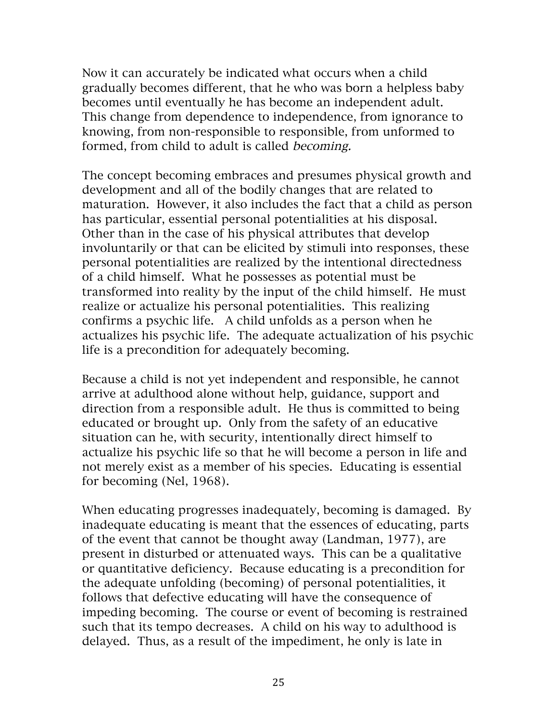Now it can accurately be indicated what occurs when a child gradually becomes different, that he who was born a helpless baby becomes until eventually he has become an independent adult. This change from dependence to independence, from ignorance to knowing, from non-responsible to responsible, from unformed to formed, from child to adult is called becoming.

The concept becoming embraces and presumes physical growth and development and all of the bodily changes that are related to maturation. However, it also includes the fact that a child as person has particular, essential personal potentialities at his disposal. Other than in the case of his physical attributes that develop involuntarily or that can be elicited by stimuli into responses, these personal potentialities are realized by the intentional directedness of a child himself. What he possesses as potential must be transformed into reality by the input of the child himself. He must realize or actualize his personal potentialities. This realizing confirms a psychic life. A child unfolds as a person when he actualizes his psychic life. The adequate actualization of his psychic life is a precondition for adequately becoming.

Because a child is not yet independent and responsible, he cannot arrive at adulthood alone without help, guidance, support and direction from a responsible adult. He thus is committed to being educated or brought up. Only from the safety of an educative situation can he, with security, intentionally direct himself to actualize his psychic life so that he will become a person in life and not merely exist as a member of his species. Educating is essential for becoming (Nel, 1968).

When educating progresses inadequately, becoming is damaged. By inadequate educating is meant that the essences of educating, parts of the event that cannot be thought away (Landman, 1977), are present in disturbed or attenuated ways. This can be a qualitative or quantitative deficiency. Because educating is a precondition for the adequate unfolding (becoming) of personal potentialities, it follows that defective educating will have the consequence of impeding becoming. The course or event of becoming is restrained such that its tempo decreases. A child on his way to adulthood is delayed. Thus, as a result of the impediment, he only is late in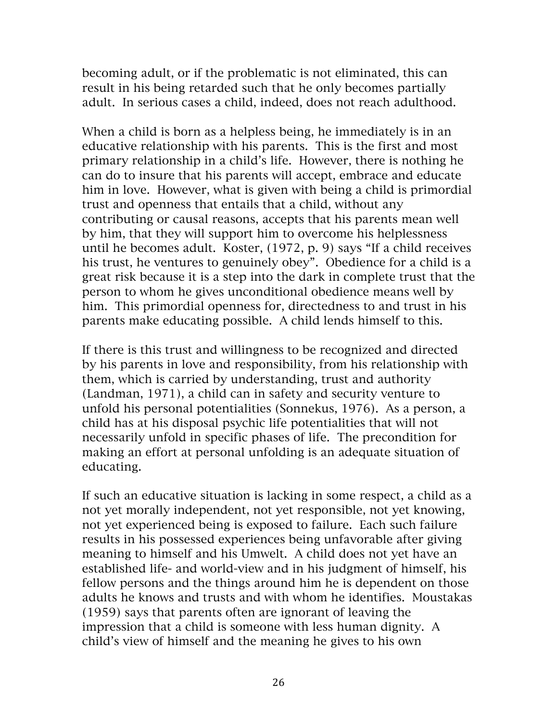becoming adult, or if the problematic is not eliminated, this can result in his being retarded such that he only becomes partially adult. In serious cases a child, indeed, does not reach adulthood.

When a child is born as a helpless being, he immediately is in an educative relationship with his parents. This is the first and most primary relationship in a child's life. However, there is nothing he can do to insure that his parents will accept, embrace and educate him in love. However, what is given with being a child is primordial trust and openness that entails that a child, without any contributing or causal reasons, accepts that his parents mean well by him, that they will support him to overcome his helplessness until he becomes adult. Koster, (1972, p. 9) says "If a child receives his trust, he ventures to genuinely obey". Obedience for a child is a great risk because it is a step into the dark in complete trust that the person to whom he gives unconditional obedience means well by him. This primordial openness for, directedness to and trust in his parents make educating possible. A child lends himself to this.

If there is this trust and willingness to be recognized and directed by his parents in love and responsibility, from his relationship with them, which is carried by understanding, trust and authority (Landman, 1971), a child can in safety and security venture to unfold his personal potentialities (Sonnekus, 1976). As a person, a child has at his disposal psychic life potentialities that will not necessarily unfold in specific phases of life. The precondition for making an effort at personal unfolding is an adequate situation of educating.

If such an educative situation is lacking in some respect, a child as a not yet morally independent, not yet responsible, not yet knowing, not yet experienced being is exposed to failure. Each such failure results in his possessed experiences being unfavorable after giving meaning to himself and his Umwelt. A child does not yet have an established life- and world-view and in his judgment of himself, his fellow persons and the things around him he is dependent on those adults he knows and trusts and with whom he identifies. Moustakas (1959) says that parents often are ignorant of leaving the impression that a child is someone with less human dignity. A child's view of himself and the meaning he gives to his own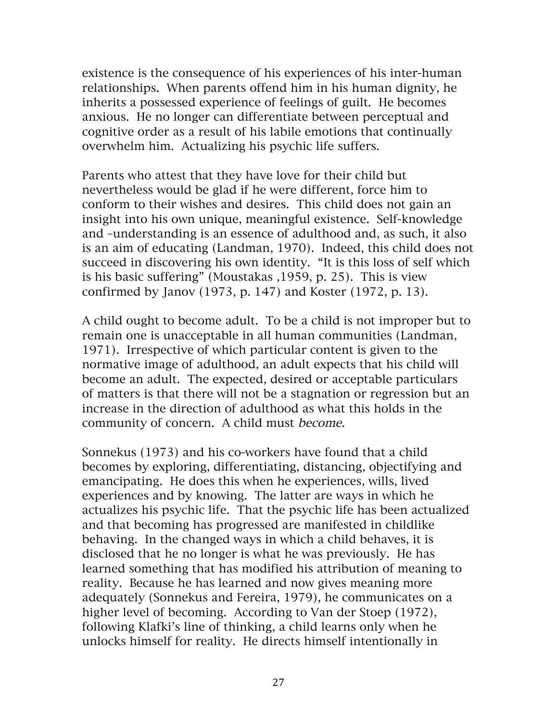existence is the consequence of his experiences of his inter-human relationships. When parents offend him in his human dignity, he inherits a possessed experience of feelings of guilt. He becomes anxious. He no longer can differentiate between perceptual and cognitive order as a result of his labile emotions that continually overwhelm him. Actualizing his psychic life suffers.

Parents who attest that they have love for their child but nevertheless would be glad if he were different, force him to conform to their wishes and desires. This child does not gain an insight into his own unique, meaningful existence. Self-knowledge and –understanding is an essence of adulthood and, as such, it also is an aim of educating (Landman, 1970). Indeed, this child does not succeed in discovering his own identity. "It is this loss of self which is his basic suffering" (Moustakas ,1959, p. 25). This is view confirmed by Janov (1973, p. 147) and Koster (1972, p. 13).

A child ought to become adult. To be a child is not improper but to remain one is unacceptable in all human communities (Landman, 1971). Irrespective of which particular content is given to the normative image of adulthood, an adult expects that his child will become an adult. The expected, desired or acceptable particulars of matters is that there will not be a stagnation or regression but an increase in the direction of adulthood as what this holds in the community of concern. A child must become.

Sonnekus (1973) and his co-workers have found that a child becomes by exploring, differentiating, distancing, objectifying and emancipating. He does this when he experiences, wills, lived experiences and by knowing. The latter are ways in which he actualizes his psychic life. That the psychic life has been actualized and that becoming has progressed are manifested in childlike behaving. In the changed ways in which a child behaves, it is disclosed that he no longer is what he was previously. He has learned something that has modified his attribution of meaning to reality. Because he has learned and now gives meaning more adequately (Sonnekus and Fereira, 1979), he communicates on a higher level of becoming. According to Van der Stoep (1972), following Klafki's line of thinking, a child learns only when he unlocks himself for reality. He directs himself intentionally in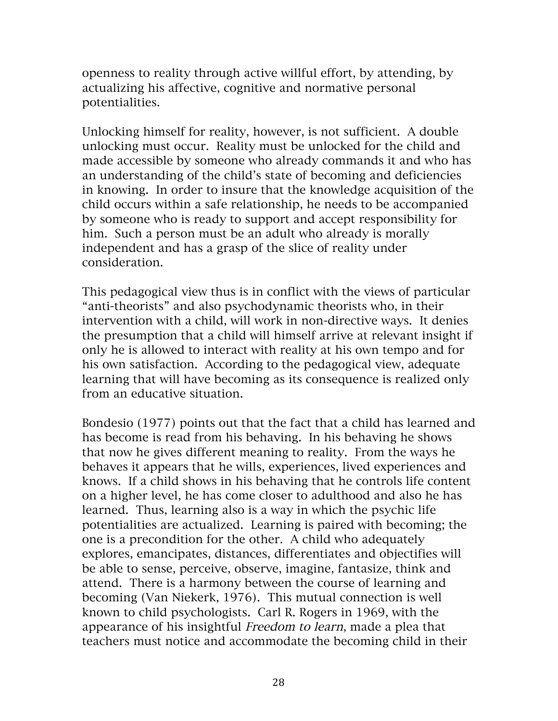openness to reality through active willful effort, by attending, by actualizing his affective, cognitive and normative personal potentialities.

Unlocking himself for reality, however, is not sufficient. A double unlocking must occur. Reality must be unlocked for the child and made accessible by someone who already commands it and who has an understanding of the child's state of becoming and deficiencies in knowing. In order to insure that the knowledge acquisition of the child occurs within a safe relationship, he needs to be accompanied by someone who is ready to support and accept responsibility for him. Such a person must be an adult who already is morally independent and has a grasp of the slice of reality under consideration.

This pedagogical view thus is in conflict with the views of particular "anti-theorists" and also psychodynamic theorists who, in their intervention with a child, will work in non-directive ways. It denies the presumption that a child will himself arrive at relevant insight if only he is allowed to interact with reality at his own tempo and for his own satisfaction. According to the pedagogical view, adequate learning that will have becoming as its consequence is realized only from an educative situation.

Bondesio (1977) points out that the fact that a child has learned and has become is read from his behaving. In his behaving he shows that now he gives different meaning to reality. From the ways he behaves it appears that he wills, experiences, lived experiences and knows. If a child shows in his behaving that he controls life content on a higher level, he has come closer to adulthood and also he has learned. Thus, learning also is a way in which the psychic life potentialities are actualized. Learning is paired with becoming; the one is a precondition for the other. A child who adequately explores, emancipates, distances, differentiates and objectifies will be able to sense, perceive, observe, imagine, fantasize, think and attend. There is a harmony between the course of learning and becoming (Van Niekerk, 1976). This mutual connection is well known to child psychologists. Carl R. Rogers in 1969, with the appearance of his insightful Freedom to learn, made a plea that teachers must notice and accommodate the becoming child in their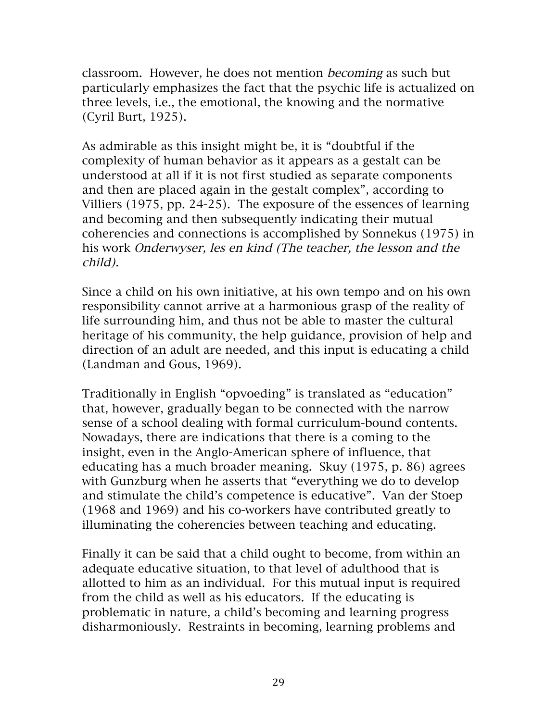classroom. However, he does not mention becoming as such but particularly emphasizes the fact that the psychic life is actualized on three levels, i.e., the emotional, the knowing and the normative (Cyril Burt, 1925).

As admirable as this insight might be, it is "doubtful if the complexity of human behavior as it appears as a gestalt can be understood at all if it is not first studied as separate components and then are placed again in the gestalt complex", according to Villiers (1975, pp. 24-25). The exposure of the essences of learning and becoming and then subsequently indicating their mutual coherencies and connections is accomplished by Sonnekus (1975) in his work Onderwyser, les en kind (The teacher, the lesson and the child).

Since a child on his own initiative, at his own tempo and on his own responsibility cannot arrive at a harmonious grasp of the reality of life surrounding him, and thus not be able to master the cultural heritage of his community, the help guidance, provision of help and direction of an adult are needed, and this input is educating a child (Landman and Gous, 1969).

Traditionally in English "opvoeding" is translated as "education" that, however, gradually began to be connected with the narrow sense of a school dealing with formal curriculum-bound contents. Nowadays, there are indications that there is a coming to the insight, even in the Anglo-American sphere of influence, that educating has a much broader meaning. Skuy (1975, p. 86) agrees with Gunzburg when he asserts that "everything we do to develop and stimulate the child's competence is educative". Van der Stoep (1968 and 1969) and his co-workers have contributed greatly to illuminating the coherencies between teaching and educating.

Finally it can be said that a child ought to become, from within an adequate educative situation, to that level of adulthood that is allotted to him as an individual. For this mutual input is required from the child as well as his educators. If the educating is problematic in nature, a child's becoming and learning progress disharmoniously. Restraints in becoming, learning problems and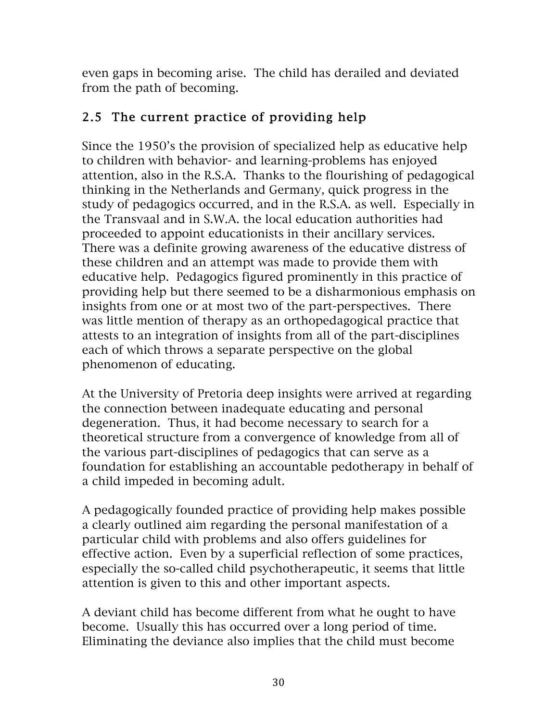even gaps in becoming arise. The child has derailed and deviated from the path of becoming.

# 2.5 The current practice of providing help

Since the 1950's the provision of specialized help as educative help to children with behavior- and learning-problems has enjoyed attention, also in the R.S.A. Thanks to the flourishing of pedagogical thinking in the Netherlands and Germany, quick progress in the study of pedagogics occurred, and in the R.S.A. as well. Especially in the Transvaal and in S.W.A. the local education authorities had proceeded to appoint educationists in their ancillary services. There was a definite growing awareness of the educative distress of these children and an attempt was made to provide them with educative help. Pedagogics figured prominently in this practice of providing help but there seemed to be a disharmonious emphasis on insights from one or at most two of the part-perspectives. There was little mention of therapy as an orthopedagogical practice that attests to an integration of insights from all of the part-disciplines each of which throws a separate perspective on the global phenomenon of educating.

At the University of Pretoria deep insights were arrived at regarding the connection between inadequate educating and personal degeneration. Thus, it had become necessary to search for a theoretical structure from a convergence of knowledge from all of the various part-disciplines of pedagogics that can serve as a foundation for establishing an accountable pedotherapy in behalf of a child impeded in becoming adult.

A pedagogically founded practice of providing help makes possible a clearly outlined aim regarding the personal manifestation of a particular child with problems and also offers guidelines for effective action. Even by a superficial reflection of some practices, especially the so-called child psychotherapeutic, it seems that little attention is given to this and other important aspects.

A deviant child has become different from what he ought to have become. Usually this has occurred over a long period of time. Eliminating the deviance also implies that the child must become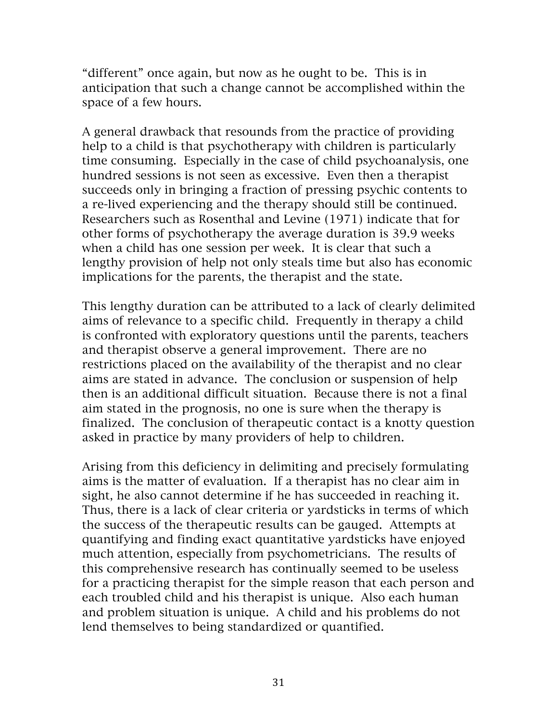"different" once again, but now as he ought to be. This is in anticipation that such a change cannot be accomplished within the space of a few hours.

A general drawback that resounds from the practice of providing help to a child is that psychotherapy with children is particularly time consuming. Especially in the case of child psychoanalysis, one hundred sessions is not seen as excessive. Even then a therapist succeeds only in bringing a fraction of pressing psychic contents to a re-lived experiencing and the therapy should still be continued. Researchers such as Rosenthal and Levine (1971) indicate that for other forms of psychotherapy the average duration is 39.9 weeks when a child has one session per week. It is clear that such a lengthy provision of help not only steals time but also has economic implications for the parents, the therapist and the state.

This lengthy duration can be attributed to a lack of clearly delimited aims of relevance to a specific child. Frequently in therapy a child is confronted with exploratory questions until the parents, teachers and therapist observe a general improvement. There are no restrictions placed on the availability of the therapist and no clear aims are stated in advance. The conclusion or suspension of help then is an additional difficult situation. Because there is not a final aim stated in the prognosis, no one is sure when the therapy is finalized. The conclusion of therapeutic contact is a knotty question asked in practice by many providers of help to children.

Arising from this deficiency in delimiting and precisely formulating aims is the matter of evaluation. If a therapist has no clear aim in sight, he also cannot determine if he has succeeded in reaching it. Thus, there is a lack of clear criteria or yardsticks in terms of which the success of the therapeutic results can be gauged. Attempts at quantifying and finding exact quantitative yardsticks have enjoyed much attention, especially from psychometricians. The results of this comprehensive research has continually seemed to be useless for a practicing therapist for the simple reason that each person and each troubled child and his therapist is unique. Also each human and problem situation is unique. A child and his problems do not lend themselves to being standardized or quantified.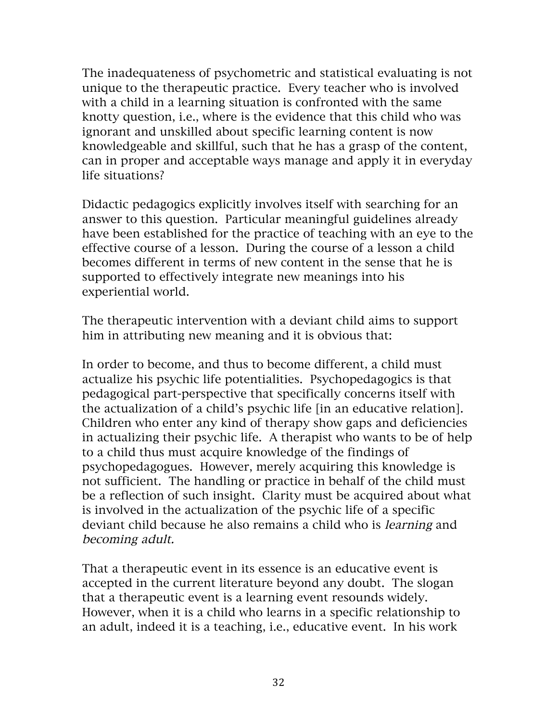The inadequateness of psychometric and statistical evaluating is not unique to the therapeutic practice. Every teacher who is involved with a child in a learning situation is confronted with the same knotty question, i.e., where is the evidence that this child who was ignorant and unskilled about specific learning content is now knowledgeable and skillful, such that he has a grasp of the content, can in proper and acceptable ways manage and apply it in everyday life situations?

Didactic pedagogics explicitly involves itself with searching for an answer to this question. Particular meaningful guidelines already have been established for the practice of teaching with an eye to the effective course of a lesson. During the course of a lesson a child becomes different in terms of new content in the sense that he is supported to effectively integrate new meanings into his experiential world.

The therapeutic intervention with a deviant child aims to support him in attributing new meaning and it is obvious that:

In order to become, and thus to become different, a child must actualize his psychic life potentialities. Psychopedagogics is that pedagogical part-perspective that specifically concerns itself with the actualization of a child's psychic life [in an educative relation]. Children who enter any kind of therapy show gaps and deficiencies in actualizing their psychic life. A therapist who wants to be of help to a child thus must acquire knowledge of the findings of psychopedagogues. However, merely acquiring this knowledge is not sufficient. The handling or practice in behalf of the child must be a reflection of such insight. Clarity must be acquired about what is involved in the actualization of the psychic life of a specific deviant child because he also remains a child who is learning and becoming adult.

That a therapeutic event in its essence is an educative event is accepted in the current literature beyond any doubt. The slogan that a therapeutic event is a learning event resounds widely. However, when it is a child who learns in a specific relationship to an adult, indeed it is a teaching, i.e., educative event. In his work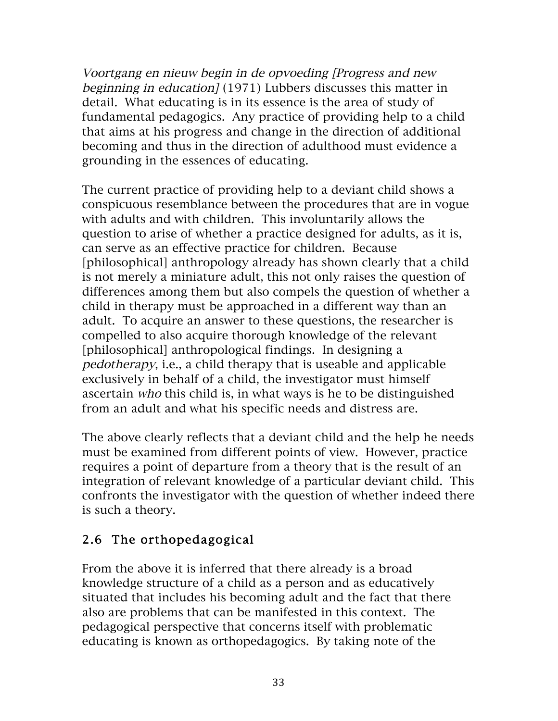Voortgang en nieuw begin in de opvoeding [Progress and new beginning in education] (1971) Lubbers discusses this matter in detail. What educating is in its essence is the area of study of fundamental pedagogics. Any practice of providing help to a child that aims at his progress and change in the direction of additional becoming and thus in the direction of adulthood must evidence a grounding in the essences of educating.

The current practice of providing help to a deviant child shows a conspicuous resemblance between the procedures that are in vogue with adults and with children. This involuntarily allows the question to arise of whether a practice designed for adults, as it is, can serve as an effective practice for children. Because [philosophical] anthropology already has shown clearly that a child is not merely a miniature adult, this not only raises the question of differences among them but also compels the question of whether a child in therapy must be approached in a different way than an adult. To acquire an answer to these questions, the researcher is compelled to also acquire thorough knowledge of the relevant [philosophical] anthropological findings. In designing a pedotherapy, i.e., a child therapy that is useable and applicable exclusively in behalf of a child, the investigator must himself ascertain who this child is, in what ways is he to be distinguished from an adult and what his specific needs and distress are.

The above clearly reflects that a deviant child and the help he needs must be examined from different points of view. However, practice requires a point of departure from a theory that is the result of an integration of relevant knowledge of a particular deviant child. This confronts the investigator with the question of whether indeed there is such a theory.

## 2.6 The orthopedagogical

From the above it is inferred that there already is a broad knowledge structure of a child as a person and as educatively situated that includes his becoming adult and the fact that there also are problems that can be manifested in this context. The pedagogical perspective that concerns itself with problematic educating is known as orthopedagogics. By taking note of the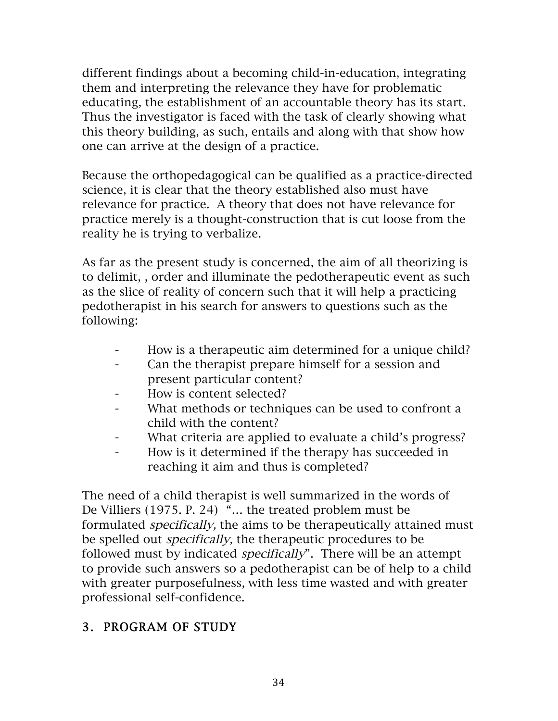different findings about a becoming child-in-education, integrating them and interpreting the relevance they have for problematic educating, the establishment of an accountable theory has its start. Thus the investigator is faced with the task of clearly showing what this theory building, as such, entails and along with that show how one can arrive at the design of a practice.

Because the orthopedagogical can be qualified as a practice-directed science, it is clear that the theory established also must have relevance for practice. A theory that does not have relevance for practice merely is a thought-construction that is cut loose from the reality he is trying to verbalize.

As far as the present study is concerned, the aim of all theorizing is to delimit, , order and illuminate the pedotherapeutic event as such as the slice of reality of concern such that it will help a practicing pedotherapist in his search for answers to questions such as the following:

- How is a therapeutic aim determined for a unique child?
- Can the therapist prepare himself for a session and present particular content?
- How is content selected?
- What methods or techniques can be used to confront a child with the content?
- What criteria are applied to evaluate a child's progress?
- How is it determined if the therapy has succeeded in reaching it aim and thus is completed?

The need of a child therapist is well summarized in the words of De Villiers (1975. P. 24) "… the treated problem must be formulated specifically, the aims to be therapeutically attained must be spelled out specifically, the therapeutic procedures to be followed must by indicated *specifically*". There will be an attempt to provide such answers so a pedotherapist can be of help to a child with greater purposefulness, with less time wasted and with greater professional self-confidence.

# 3. PROGRAM OF STUDY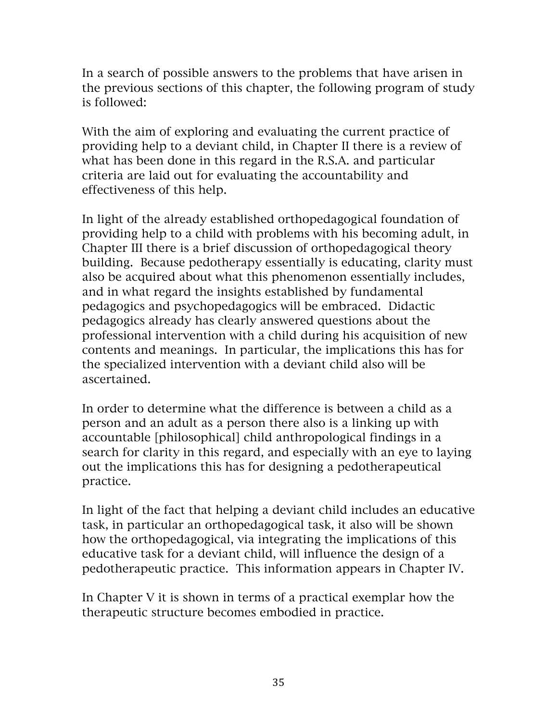In a search of possible answers to the problems that have arisen in the previous sections of this chapter, the following program of study is followed:

With the aim of exploring and evaluating the current practice of providing help to a deviant child, in Chapter II there is a review of what has been done in this regard in the R.S.A. and particular criteria are laid out for evaluating the accountability and effectiveness of this help.

In light of the already established orthopedagogical foundation of providing help to a child with problems with his becoming adult, in Chapter III there is a brief discussion of orthopedagogical theory building. Because pedotherapy essentially is educating, clarity must also be acquired about what this phenomenon essentially includes, and in what regard the insights established by fundamental pedagogics and psychopedagogics will be embraced. Didactic pedagogics already has clearly answered questions about the professional intervention with a child during his acquisition of new contents and meanings. In particular, the implications this has for the specialized intervention with a deviant child also will be ascertained.

In order to determine what the difference is between a child as a person and an adult as a person there also is a linking up with accountable [philosophical] child anthropological findings in a search for clarity in this regard, and especially with an eye to laying out the implications this has for designing a pedotherapeutical practice.

In light of the fact that helping a deviant child includes an educative task, in particular an orthopedagogical task, it also will be shown how the orthopedagogical, via integrating the implications of this educative task for a deviant child, will influence the design of a pedotherapeutic practice. This information appears in Chapter IV.

In Chapter V it is shown in terms of a practical exemplar how the therapeutic structure becomes embodied in practice.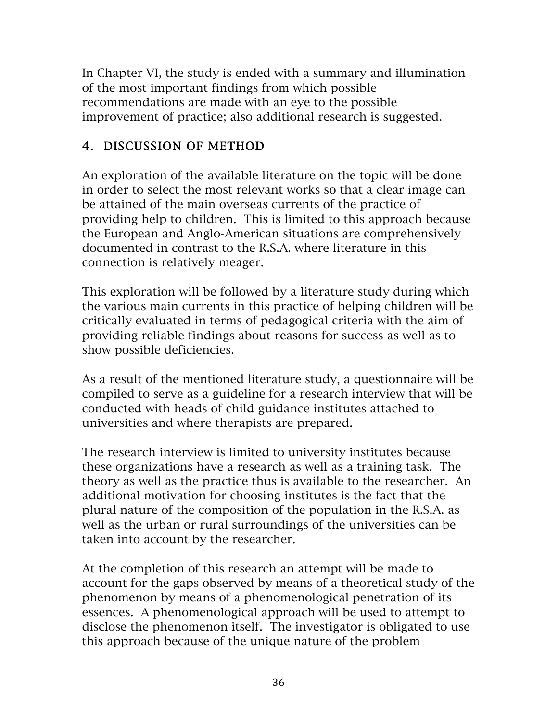In Chapter VI, the study is ended with a summary and illumination of the most important findings from which possible recommendations are made with an eye to the possible improvement of practice; also additional research is suggested.

# 4. DISCUSSION OF METHOD

An exploration of the available literature on the topic will be done in order to select the most relevant works so that a clear image can be attained of the main overseas currents of the practice of providing help to children. This is limited to this approach because the European and Anglo-American situations are comprehensively documented in contrast to the R.S.A. where literature in this connection is relatively meager.

This exploration will be followed by a literature study during which the various main currents in this practice of helping children will be critically evaluated in terms of pedagogical criteria with the aim of providing reliable findings about reasons for success as well as to show possible deficiencies.

As a result of the mentioned literature study, a questionnaire will be compiled to serve as a guideline for a research interview that will be conducted with heads of child guidance institutes attached to universities and where therapists are prepared.

The research interview is limited to university institutes because these organizations have a research as well as a training task. The theory as well as the practice thus is available to the researcher. An additional motivation for choosing institutes is the fact that the plural nature of the composition of the population in the R.S.A. as well as the urban or rural surroundings of the universities can be taken into account by the researcher.

At the completion of this research an attempt will be made to account for the gaps observed by means of a theoretical study of the phenomenon by means of a phenomenological penetration of its essences. A phenomenological approach will be used to attempt to disclose the phenomenon itself. The investigator is obligated to use this approach because of the unique nature of the problem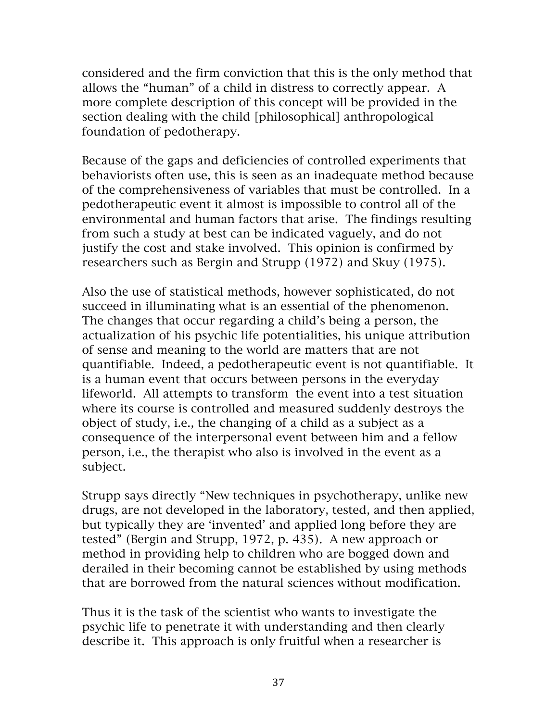considered and the firm conviction that this is the only method that allows the "human" of a child in distress to correctly appear. A more complete description of this concept will be provided in the section dealing with the child [philosophical] anthropological foundation of pedotherapy.

Because of the gaps and deficiencies of controlled experiments that behaviorists often use, this is seen as an inadequate method because of the comprehensiveness of variables that must be controlled. In a pedotherapeutic event it almost is impossible to control all of the environmental and human factors that arise. The findings resulting from such a study at best can be indicated vaguely, and do not justify the cost and stake involved. This opinion is confirmed by researchers such as Bergin and Strupp (1972) and Skuy (1975).

Also the use of statistical methods, however sophisticated, do not succeed in illuminating what is an essential of the phenomenon. The changes that occur regarding a child's being a person, the actualization of his psychic life potentialities, his unique attribution of sense and meaning to the world are matters that are not quantifiable. Indeed, a pedotherapeutic event is not quantifiable. It is a human event that occurs between persons in the everyday lifeworld. All attempts to transform the event into a test situation where its course is controlled and measured suddenly destroys the object of study, i.e., the changing of a child as a subject as a consequence of the interpersonal event between him and a fellow person, i.e., the therapist who also is involved in the event as a subject.

Strupp says directly "New techniques in psychotherapy, unlike new drugs, are not developed in the laboratory, tested, and then applied, but typically they are 'invented' and applied long before they are tested" (Bergin and Strupp, 1972, p. 435). A new approach or method in providing help to children who are bogged down and derailed in their becoming cannot be established by using methods that are borrowed from the natural sciences without modification.

Thus it is the task of the scientist who wants to investigate the psychic life to penetrate it with understanding and then clearly describe it. This approach is only fruitful when a researcher is